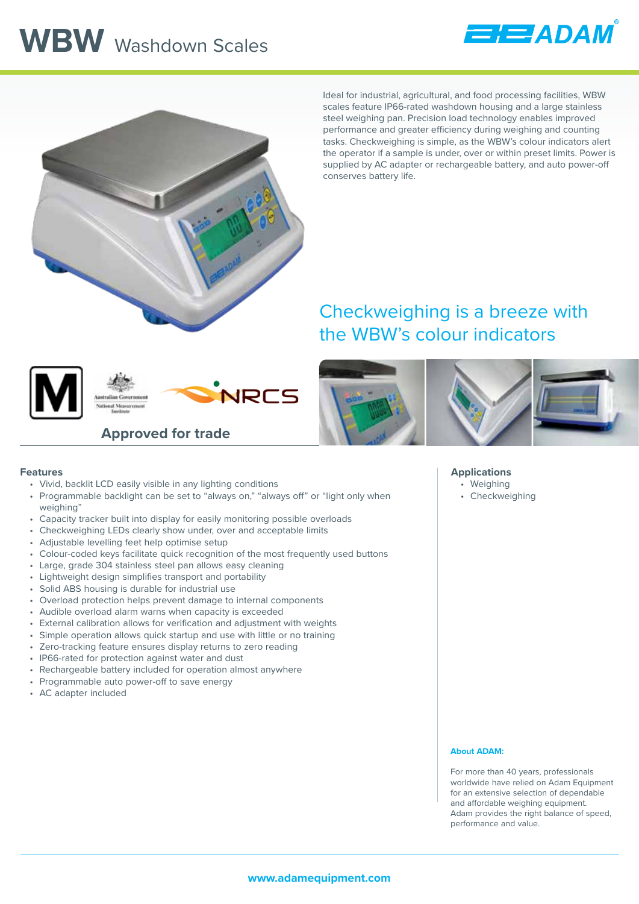# **WBW** Washdown Scales





Ideal for industrial, agricultural, and food processing facilities, WBW scales feature IP66-rated washdown housing and a large stainless steel weighing pan. Precision load technology enables improved performance and greater efficiency during weighing and counting tasks. Checkweighing is simple, as the WBW's colour indicators alert the operator if a sample is under, over or within preset limits. Power is supplied by AC adapter or rechargeable battery, and auto power-off conserves battery life.

### Checkweighing is a breeze with the WBW's colour indicators





**Approved for trade**



#### **Features**

- Vivid, backlit LCD easily visible in any lighting conditions
- Programmable backlight can be set to "always on," "always off" or "light only when weighing"
- Capacity tracker built into display for easily monitoring possible overloads
- Checkweighing LEDs clearly show under, over and acceptable limits
- Adjustable levelling feet help optimise setup
- Colour-coded keys facilitate quick recognition of the most frequently used buttons
- Large, grade 304 stainless steel pan allows easy cleaning
- Lightweight design simplifies transport and portability
- Solid ABS housing is durable for industrial use
- Overload protection helps prevent damage to internal components
- Audible overload alarm warns when capacity is exceeded
- External calibration allows for verification and adjustment with weights
- Simple operation allows quick startup and use with little or no training
- Zero-tracking feature ensures display returns to zero reading
- IP66-rated for protection against water and dust
- Rechargeable battery included for operation almost anywhere
- Programmable auto power-off to save energy
- AC adapter included

#### **Applications**

- Weighing
- Checkweighing

#### **About ADAM:**

For more than 40 years, professionals worldwide have relied on Adam Equipment for an extensive selection of dependable and affordable weighing equipment. Adam provides the right balance of speed, performance and value.